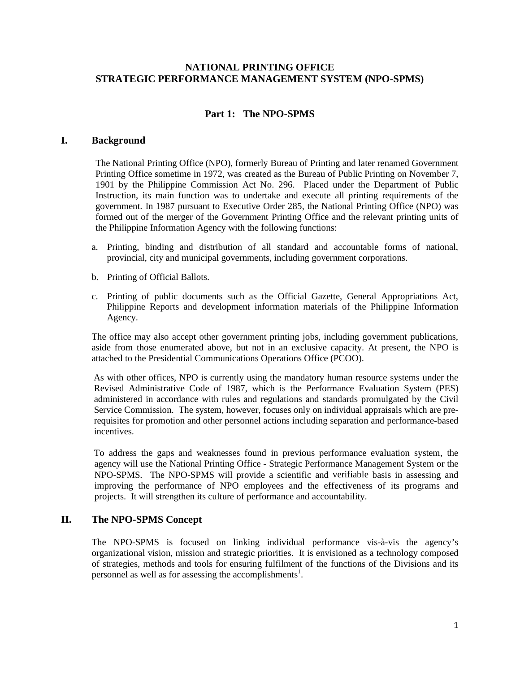### **NATIONAL PRINTING OFFICE STRATEGIC PERFORMANCE MANAGEMENT SYSTEM (NPO-SPMS)**

# **Part 1: The NPO-SPMS**

### **I. Background**

The National Printing Office (NPO), formerly Bureau of Printing and later renamed Government Printing Office sometime in 1972, was created as the Bureau of Public Printing on November 7, 1901 by the Philippine Commission Act No. 296. Placed under the Department of Public Instruction, its main function was to undertake and execute all printing requirements of the government. In 1987 pursuant to Executive Order 285, the National Printing Office (NPO) was formed out of the merger of the Government Printing Office and the relevant printing units of the Philippine Information Agency with the following functions:

- a. Printing, binding and distribution of all standard and accountable forms of national, provincial, city and municipal governments, including government corporations.
- b. Printing of Official Ballots.
- c. Printing of public documents such as the Official Gazette, General Appropriations Act, Philippine Reports and development information materials of the Philippine Information Agency.

The office may also accept other government printing jobs, including government publications, aside from those enumerated above, but not in an exclusive capacity. At present, the NPO is attached to the Presidential Communications Operations Office (PCOO).

As with other offices, NPO is currently using the mandatory human resource systems under the Revised Administrative Code of 1987, which is the Performance Evaluation System (PES) administered in accordance with rules and regulations and standards promulgated by the Civil Service Commission. The system, however, focuses only on individual appraisals which are prerequisites for promotion and other personnel actions including separation and performance-based incentives.

To address the gaps and weaknesses found in previous performance evaluation system, the agency will use the National Printing Office - Strategic Performance Management System or the NPO-SPMS. The NPO-SPMS will provide a scientific and verifiable basis in assessing and improving the performance of NPO employees and the effectiveness of its programs and projects. It will strengthen its culture of performance and accountability.

### **II. The NPO-SPMS Concept**

The NPO-SPMS is focused on linking individual performance vis-à-vis the agency's organizational vision, mission and strategic priorities. It is envisioned as a technology composed of strategies, methods and tools for ensuring fulfilment of the functions of the Divisions and its personnel as well as for assessing the accomplishments<sup>1</sup>.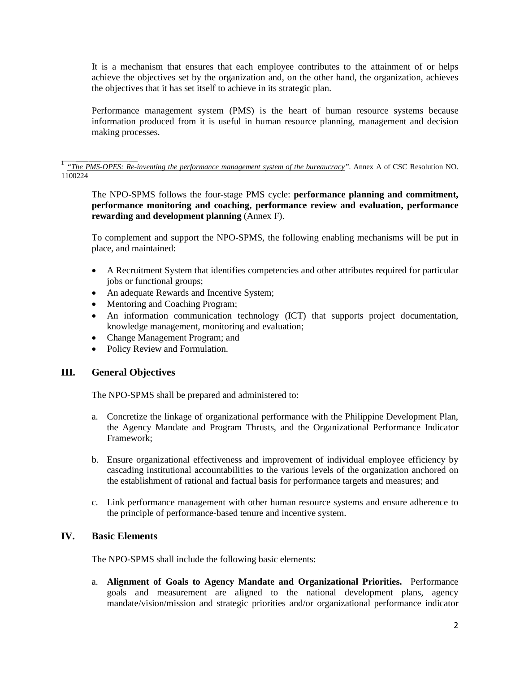It is a mechanism that ensures that each employee contributes to the attainment of or helps achieve the objectives set by the organization and, on the other hand, the organization, achieves the objectives that it has set itself to achieve in its strategic plan.

Performance management system (PMS) is the heart of human resource systems because information produced from it is useful in human resource planning, management and decision making processes.

<sup>1</sup> "The PMS-OPES: Re-inventing the performance management system of the bureaucracy". Annex A of CSC Resolution NO. 1100224

The NPO-SPMS follows the four-stage PMS cycle: **performance planning and commitment, performance monitoring and coaching, performance review and evaluation, performance rewarding and development planning** (Annex F).

To complement and support the NPO-SPMS, the following enabling mechanisms will be put in place, and maintained:

- A Recruitment System that identifies competencies and other attributes required for particular jobs or functional groups;
- An adequate Rewards and Incentive System;
- Mentoring and Coaching Program;
- An information communication technology (ICT) that supports project documentation, knowledge management, monitoring and evaluation;
- Change Management Program; and
- Policy Review and Formulation.

# **III. General Objectives**

The NPO-SPMS shall be prepared and administered to:

- a. Concretize the linkage of organizational performance with the Philippine Development Plan, the Agency Mandate and Program Thrusts, and the Organizational Performance Indicator Framework;
- b. Ensure organizational effectiveness and improvement of individual employee efficiency by cascading institutional accountabilities to the various levels of the organization anchored on the establishment of rational and factual basis for performance targets and measures; and
- c. Link performance management with other human resource systems and ensure adherence to the principle of performance-based tenure and incentive system.

### **IV. Basic Elements**

The NPO-SPMS shall include the following basic elements:

a. **Alignment of Goals to Agency Mandate and Organizational Priorities.** Performance goals and measurement are aligned to the national development plans, agency mandate/vision/mission and strategic priorities and/or organizational performance indicator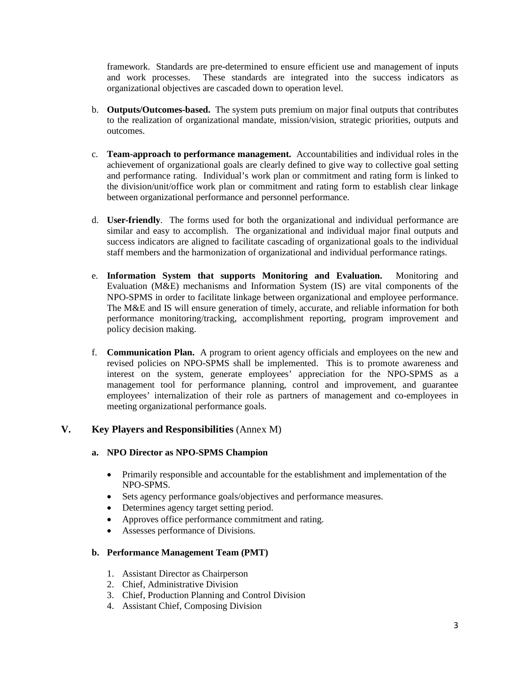framework. Standards are pre-determined to ensure efficient use and management of inputs and work processes. These standards are integrated into the success indicators as organizational objectives are cascaded down to operation level.

- b. **Outputs/Outcomes-based.** The system puts premium on major final outputs that contributes to the realization of organizational mandate, mission/vision, strategic priorities, outputs and outcomes.
- c. **Team-approach to performance management.** Accountabilities and individual roles in the achievement of organizational goals are clearly defined to give way to collective goal setting and performance rating. Individual's work plan or commitment and rating form is linked to the division/unit/office work plan or commitment and rating form to establish clear linkage between organizational performance and personnel performance.
- d. **User-friendly**. The forms used for both the organizational and individual performance are similar and easy to accomplish. The organizational and individual major final outputs and success indicators are aligned to facilitate cascading of organizational goals to the individual staff members and the harmonization of organizational and individual performance ratings.
- e. **Information System that supports Monitoring and Evaluation.** Monitoring and Evaluation (M&E) mechanisms and Information System (IS) are vital components of the NPO-SPMS in order to facilitate linkage between organizational and employee performance. The M&E and IS will ensure generation of timely, accurate, and reliable information for both performance monitoring/tracking, accomplishment reporting, program improvement and policy decision making.
- f. **Communication Plan.** A program to orient agency officials and employees on the new and revised policies on NPO-SPMS shall be implemented. This is to promote awareness and interest on the system, generate employees' appreciation for the NPO-SPMS as a management tool for performance planning, control and improvement, and guarantee employees' internalization of their role as partners of management and co-employees in meeting organizational performance goals.

# **V. Key Players and Responsibilities** (Annex M)

### **a. NPO Director as NPO-SPMS Champion**

- Primarily responsible and accountable for the establishment and implementation of the NPO-SPMS.
- Sets agency performance goals/objectives and performance measures.
- Determines agency target setting period.
- Approves office performance commitment and rating.
- Assesses performance of Divisions.

### **b. Performance Management Team (PMT)**

- 1. Assistant Director as Chairperson
- 2. Chief, Administrative Division
- 3. Chief, Production Planning and Control Division
- 4. Assistant Chief, Composing Division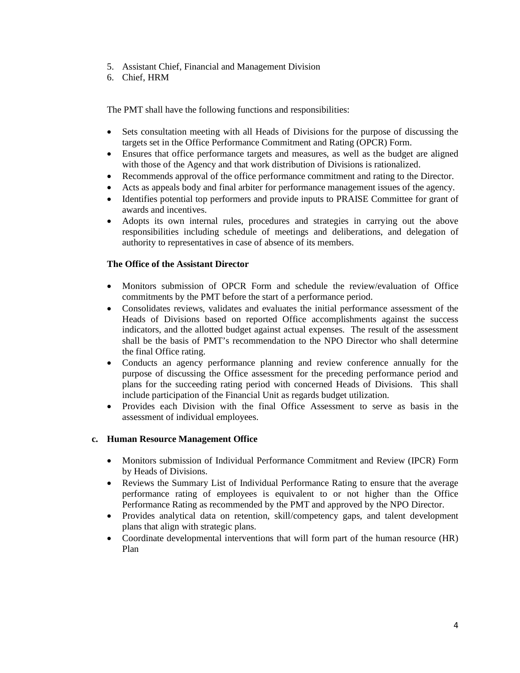- 5. Assistant Chief, Financial and Management Division
- 6. Chief, HRM

The PMT shall have the following functions and responsibilities:

- Sets consultation meeting with all Heads of Divisions for the purpose of discussing the targets set in the Office Performance Commitment and Rating (OPCR) Form.
- Ensures that office performance targets and measures, as well as the budget are aligned with those of the Agency and that work distribution of Divisions is rationalized.
- Recommends approval of the office performance commitment and rating to the Director.
- Acts as appeals body and final arbiter for performance management issues of the agency.
- Identifies potential top performers and provide inputs to PRAISE Committee for grant of awards and incentives.
- Adopts its own internal rules, procedures and strategies in carrying out the above responsibilities including schedule of meetings and deliberations, and delegation of authority to representatives in case of absence of its members.

### **The Office of the Assistant Director**

- Monitors submission of OPCR Form and schedule the review/evaluation of Office commitments by the PMT before the start of a performance period.
- Consolidates reviews, validates and evaluates the initial performance assessment of the Heads of Divisions based on reported Office accomplishments against the success indicators, and the allotted budget against actual expenses. The result of the assessment shall be the basis of PMT's recommendation to the NPO Director who shall determine the final Office rating.
- Conducts an agency performance planning and review conference annually for the purpose of discussing the Office assessment for the preceding performance period and plans for the succeeding rating period with concerned Heads of Divisions. This shall include participation of the Financial Unit as regards budget utilization.
- Provides each Division with the final Office Assessment to serve as basis in the assessment of individual employees.

### **c. Human Resource Management Office**

- Monitors submission of Individual Performance Commitment and Review (IPCR) Form by Heads of Divisions.
- Reviews the Summary List of Individual Performance Rating to ensure that the average performance rating of employees is equivalent to or not higher than the Office Performance Rating as recommended by the PMT and approved by the NPO Director.
- Provides analytical data on retention, skill/competency gaps, and talent development plans that align with strategic plans.
- Coordinate developmental interventions that will form part of the human resource (HR) Plan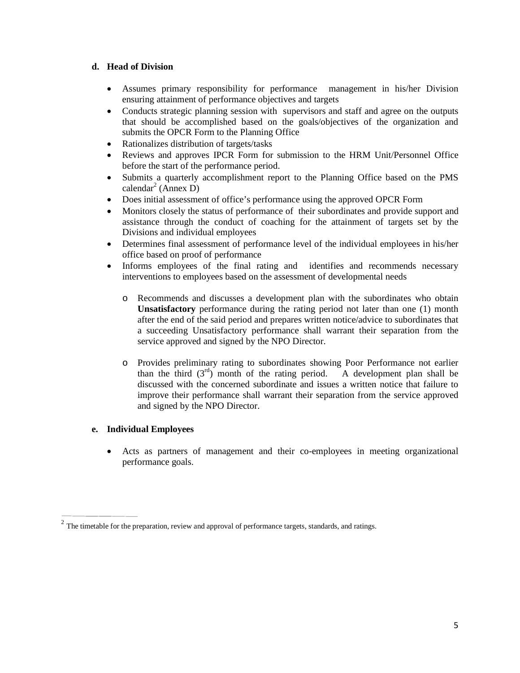### **d. Head of Division**

- Assumes primary responsibility for performance management in his/her Division ensuring attainment of performance objectives and targets
- Conducts strategic planning session with supervisors and staff and agree on the outputs that should be accomplished based on the goals/objectives of the organization and submits the OPCR Form to the Planning Office
- Rationalizes distribution of targets/tasks
- Reviews and approves IPCR Form for submission to the HRM Unit/Personnel Office before the start of the performance period.
- Submits a quarterly accomplishment report to the Planning Office based on the PMS calendar<sup>2</sup> (Annex D)
- Does initial assessment of office's performance using the approved OPCR Form
- Monitors closely the status of performance of their subordinates and provide support and assistance through the conduct of coaching for the attainment of targets set by the Divisions and individual employees
- Determines final assessment of performance level of the individual employees in his/her office based on proof of performance
- Informs employees of the final rating and identifies and recommends necessary interventions to employees based on the assessment of developmental needs
	- o Recommends and discusses a development plan with the subordinates who obtain **Unsatisfactory** performance during the rating period not later than one (1) month after the end of the said period and prepares written notice/advice to subordinates that a succeeding Unsatisfactory performance shall warrant their separation from the service approved and signed by the NPO Director.
	- o Provides preliminary rating to subordinates showing Poor Performance not earlier than the third  $(3^{rd})$  month of the rating period. A development plan shall be than the third  $(3<sup>rd</sup>)$  month of the rating period. discussed with the concerned subordinate and issues a written notice that failure to improve their performance shall warrant their separation from the service approved and signed by the NPO Director.

# **e. Individual Employees**

• Acts as partners of management and their co-employees in meeting organizational performance goals.

 $2$  The timetable for the preparation, review and approval of performance targets, standards, and ratings.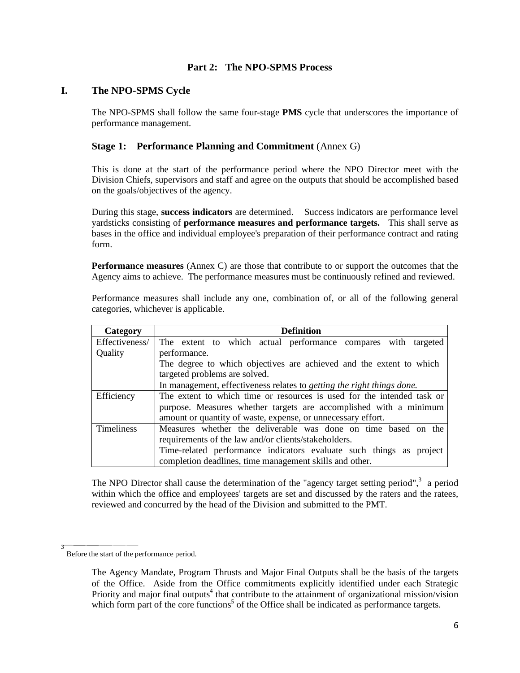### **Part 2: The NPO-SPMS Process**

### **I. The NPO-SPMS Cycle**

The NPO-SPMS shall follow the same four-stage **PMS** cycle that underscores the importance of performance management.

### **Stage 1: Performance Planning and Commitment** (Annex G)

This is done at the start of the performance period where the NPO Director meet with the Division Chiefs, supervisors and staff and agree on the outputs that should be accomplished based on the goals/objectives of the agency.

During this stage, **success indicators** are determined. Success indicators are performance level yardsticks consisting of **performance measures and performance targets.** This shall serve as bases in the office and individual employee's preparation of their performance contract and rating form.

**Performance measures** (Annex C) are those that contribute to or support the outcomes that the Agency aims to achieve. The performance measures must be continuously refined and reviewed.

Performance measures shall include any one, combination of, or all of the following general categories, whichever is applicable.

| Category          | <b>Definition</b>                                                              |  |  |  |  |  |  |  |
|-------------------|--------------------------------------------------------------------------------|--|--|--|--|--|--|--|
| Effectiveness/    | The extent to which actual performance compares with targeted                  |  |  |  |  |  |  |  |
| Quality           | performance.                                                                   |  |  |  |  |  |  |  |
|                   | The degree to which objectives are achieved and the extent to which            |  |  |  |  |  |  |  |
|                   | targeted problems are solved.                                                  |  |  |  |  |  |  |  |
|                   | In management, effectiveness relates to <i>getting the right things done</i> . |  |  |  |  |  |  |  |
| Efficiency        | The extent to which time or resources is used for the intended task or         |  |  |  |  |  |  |  |
|                   | purpose. Measures whether targets are accomplished with a minimum              |  |  |  |  |  |  |  |
|                   | amount or quantity of waste, expense, or unnecessary effort.                   |  |  |  |  |  |  |  |
| <b>Timeliness</b> | Measures whether the deliverable was done on time based on the                 |  |  |  |  |  |  |  |
|                   | requirements of the law and/or clients/stakeholders.                           |  |  |  |  |  |  |  |
|                   | Time-related performance indicators evaluate such things as project            |  |  |  |  |  |  |  |
|                   | completion deadlines, time management skills and other.                        |  |  |  |  |  |  |  |

The NPO Director shall cause the determination of the "agency target setting period", $3\overline{ }$  a period within which the office and employees' targets are set and discussed by the raters and the ratees, reviewed and concurred by the head of the Division and submitted to the PMT.

<sup>3</sup> Before the start of the performance period.

The Agency Mandate, Program Thrusts and Major Final Outputs shall be the basis of the targets of the Office. Aside from the Office commitments explicitly identified under each Strategic Priority and major final outputs<sup>4</sup> that contribute to the attainment of organizational mission/vision which form part of the core functions<sup>5</sup> of the Office shall be indicated as performance targets.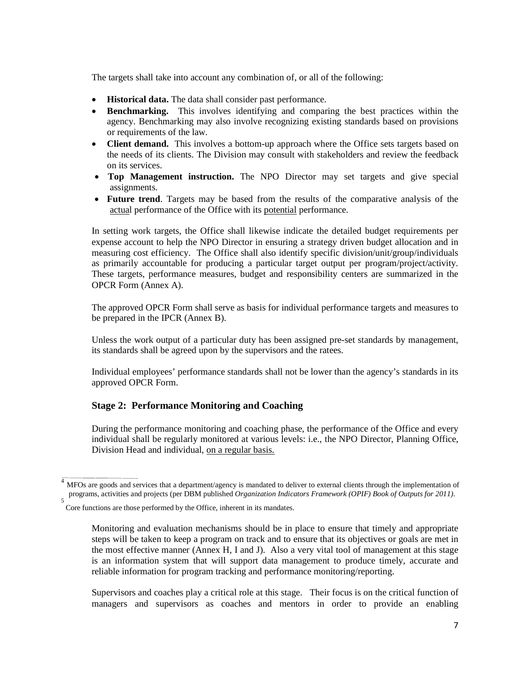The targets shall take into account any combination of, or all of the following:

- **Historical data.** The data shall consider past performance.
- **Benchmarking.** This involves identifying and comparing the best practices within the agency. Benchmarking may also involve recognizing existing standards based on provisions or requirements of the law.
- **Client demand.** This involves a bottom-up approach where the Office sets targets based on the needs of its clients. The Division may consult with stakeholders and review the feedback on its services.
- **Top Management instruction.** The NPO Director may set targets and give special assignments.
- **Future trend**. Targets may be based from the results of the comparative analysis of the actual performance of the Office with its potential performance.

In setting work targets, the Office shall likewise indicate the detailed budget requirements per expense account to help the NPO Director in ensuring a strategy driven budget allocation and in measuring cost efficiency. The Office shall also identify specific division/unit/group/individuals as primarily accountable for producing a particular target output per program/project/activity. These targets, performance measures, budget and responsibility centers are summarized in the OPCR Form (Annex A).

The approved OPCR Form shall serve as basis for individual performance targets and measures to be prepared in the IPCR (Annex B).

Unless the work output of a particular duty has been assigned pre-set standards by management, its standards shall be agreed upon by the supervisors and the ratees.

Individual employees' performance standards shall not be lower than the agency's standards in its approved OPCR Form.

# **Stage 2: Performance Monitoring and Coaching**

During the performance monitoring and coaching phase, the performance of the Office and every individual shall be regularly monitored at various levels: i.e., the NPO Director, Planning Office, Division Head and individual, on a regular basis.

Supervisors and coaches play a critical role at this stage. Their focus is on the critical function of managers and supervisors as coaches and mentors in order to provide an enabling

MFOs are goods and services that a department/agency is mandated to deliver to external clients through the implementation of programs, activities and projects (per DBM published *Organization Indicators Framework (OPIF) Book of Outputs for 2011).* 5

Core functions are those performed by the Office, inherent in its mandates.

Monitoring and evaluation mechanisms should be in place to ensure that timely and appropriate steps will be taken to keep a program on track and to ensure that its objectives or goals are met in the most effective manner (Annex H, I and J). Also a very vital tool of management at this stage is an information system that will support data management to produce timely, accurate and reliable information for program tracking and performance monitoring/reporting.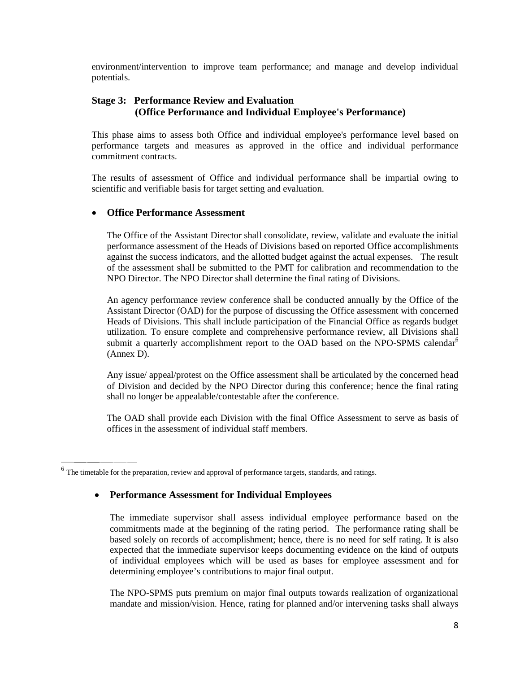environment/intervention to improve team performance; and manage and develop individual potentials.

# **Stage 3: Performance Review and Evaluation (Office Performance and Individual Employee's Performance)**

This phase aims to assess both Office and individual employee's performance level based on performance targets and measures as approved in the office and individual performance commitment contracts.

The results of assessment of Office and individual performance shall be impartial owing to scientific and verifiable basis for target setting and evaluation.

### • **Office Performance Assessment**

The Office of the Assistant Director shall consolidate, review, validate and evaluate the initial performance assessment of the Heads of Divisions based on reported Office accomplishments against the success indicators, and the allotted budget against the actual expenses. The result of the assessment shall be submitted to the PMT for calibration and recommendation to the NPO Director. The NPO Director shall determine the final rating of Divisions.

An agency performance review conference shall be conducted annually by the Office of the Assistant Director (OAD) for the purpose of discussing the Office assessment with concerned Heads of Divisions. This shall include participation of the Financial Office as regards budget utilization. To ensure complete and comprehensive performance review, all Divisions shall submit a quarterly accomplishment report to the OAD based on the NPO-SPMS calendar<sup>6</sup> (Annex D).

Any issue/ appeal/protest on the Office assessment shall be articulated by the concerned head of Division and decided by the NPO Director during this conference; hence the final rating shall no longer be appealable/contestable after the conference.

The OAD shall provide each Division with the final Office Assessment to serve as basis of offices in the assessment of individual staff members.

### • **Performance Assessment for Individual Employees**

The immediate supervisor shall assess individual employee performance based on the commitments made at the beginning of the rating period. The performance rating shall be based solely on records of accomplishment; hence, there is no need for self rating. It is also expected that the immediate supervisor keeps documenting evidence on the kind of outputs of individual employees which will be used as bases for employee assessment and for determining employee's contributions to major final output.

The NPO-SPMS puts premium on major final outputs towards realization of organizational mandate and mission/vision. Hence, rating for planned and/or intervening tasks shall always

<sup>&</sup>lt;sup>6</sup> The timetable for the preparation, review and approval of performance targets, standards, and ratings.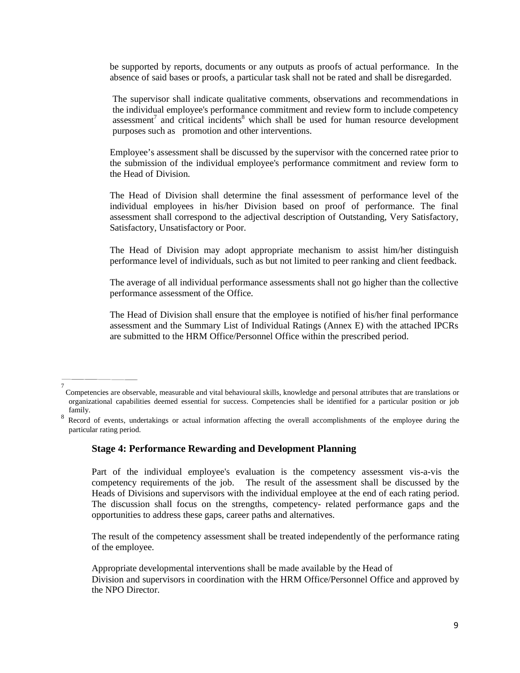be supported by reports, documents or any outputs as proofs of actual performance. In the absence of said bases or proofs, a particular task shall not be rated and shall be disregarded.

The supervisor shall indicate qualitative comments, observations and recommendations in the individual employee's performance commitment and review form to include competency assessment<sup>7</sup> and critical incidents<sup>8</sup> which shall be used for human resource development purposes such as promotion and other interventions.

Employee's assessment shall be discussed by the supervisor with the concerned ratee prior to the submission of the individual employee's performance commitment and review form to the Head of Division.

The Head of Division shall determine the final assessment of performance level of the individual employees in his/her Division based on proof of performance. The final assessment shall correspond to the adjectival description of Outstanding, Very Satisfactory, Satisfactory, Unsatisfactory or Poor.

The Head of Division may adopt appropriate mechanism to assist him/her distinguish performance level of individuals, such as but not limited to peer ranking and client feedback.

The average of all individual performance assessments shall not go higher than the collective performance assessment of the Office.

The Head of Division shall ensure that the employee is notified of his/her final performance assessment and the Summary List of Individual Ratings (Annex E) with the attached IPCRs are submitted to the HRM Office/Personnel Office within the prescribed period.

#### **Stage 4: Performance Rewarding and Development Planning**

Part of the individual employee's evaluation is the competency assessment vis-a-vis the competency requirements of the job. The result of the assessment shall be discussed by the Heads of Divisions and supervisors with the individual employee at the end of each rating period. The discussion shall focus on the strengths, competency- related performance gaps and the opportunities to address these gaps, career paths and alternatives.

The result of the competency assessment shall be treated independently of the performance rating of the employee.

Appropriate developmental interventions shall be made available by the Head of Division and supervisors in coordination with the HRM Office/Personnel Office and approved by the NPO Director.

<sup>7</sup> Competencies are observable, measurable and vital behavioural skills, knowledge and personal attributes that are translations or organizational capabilities deemed essential for success. Competencies shall be identified for a particular position or job family.

<sup>8</sup> Record of events, undertakings or actual information affecting the overall accomplishments of the employee during the particular rating period.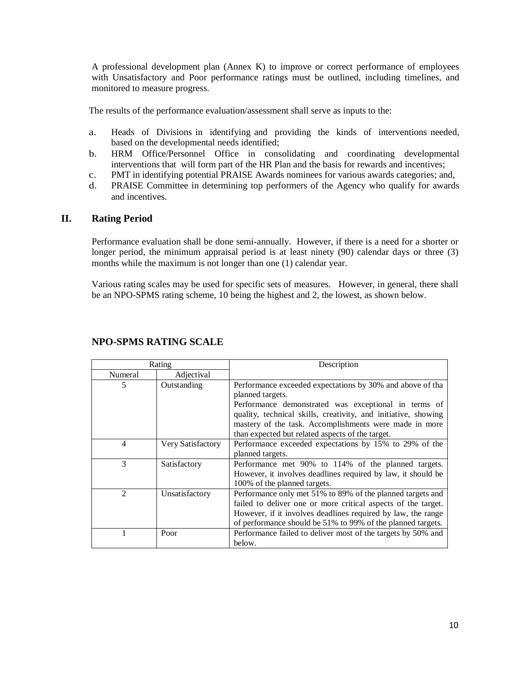A professional development plan (Annex K) to improve or correct performance of employees with Unsatisfactory and Poor performance ratings must be outlined, including timelines, and monitored to measure progress.

The results of the performance evaluation/assessment shall serve as inputs to the:

- a. Heads of Divisions in identifying and providing the kinds of interventions needed, based on the developmental needs identified;
- b. HRM Office/Personnel Office in consolidating and coordinating developmental interventions that will form part of the HR Plan and the basis for rewards and incentives;
- c. PMT in identifying potential PRAISE Awards nominees for various awards categories; and,
- d. PRAISE Committee in determining top performers of the Agency who qualify for awards and incentives.

### **II. Rating Period**

Performance evaluation shall be done semi-annually. However, if there is a need for a shorter or longer period, the minimum appraisal period is at least ninety (90) calendar days or three (3) months while the maximum is not longer than one (1) calendar year.

Various rating scales may be used for specific sets of measures. However, in general, there shall be an NPO-SPMS rating scheme, 10 being the highest and 2, the lowest, as shown below.

| Rating         |                   | Description                                                                                                                                                                                                                                                                                                           |
|----------------|-------------------|-----------------------------------------------------------------------------------------------------------------------------------------------------------------------------------------------------------------------------------------------------------------------------------------------------------------------|
| Numeral        | Adjectival        |                                                                                                                                                                                                                                                                                                                       |
| 5              | Outstanding       | Performance exceeded expectations by 30% and above of tha<br>planned targets.<br>Performance demonstrated was exceptional in terms of<br>quality, technical skills, creativity, and initiative, showing<br>mastery of the task. Accomplishments were made in more<br>than expected but related aspects of the target. |
| $\overline{4}$ | Very Satisfactory | Performance exceeded expectations by 15% to 29% of the<br>planned targets.                                                                                                                                                                                                                                            |
| 3              | Satisfactory      | Performance met 90% to 114% of the planned targets.<br>However, it involves deadlines required by law, it should be<br>100% of the planned targets.                                                                                                                                                                   |
| $\mathcal{D}$  | Unsatisfactory    | Performance only met 51% to 89% of the planned targets and<br>failed to deliver one or more critical aspects of the target.<br>However, if it involves deadlines required by law, the range<br>of performance should be 51% to 99% of the planned targets.                                                            |
|                | Poor              | Performance failed to deliver most of the targets by 50% and<br>below.                                                                                                                                                                                                                                                |

### **NPO-SPMS RATING SCALE**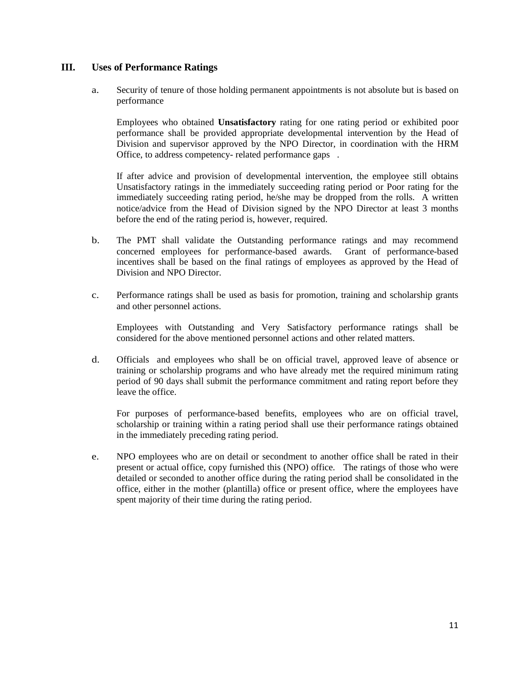### **III. Uses of Performance Ratings**

a. Security of tenure of those holding permanent appointments is not absolute but is based on performance

Employees who obtained **Unsatisfactory** rating for one rating period or exhibited poor performance shall be provided appropriate developmental intervention by the Head of Division and supervisor approved by the NPO Director, in coordination with the HRM Office, to address competency- related performance gaps .

If after advice and provision of developmental intervention, the employee still obtains Unsatisfactory ratings in the immediately succeeding rating period or Poor rating for the immediately succeeding rating period, he/she may be dropped from the rolls. A written notice/advice from the Head of Division signed by the NPO Director at least 3 months before the end of the rating period is, however, required.

- b. The PMT shall validate the Outstanding performance ratings and may recommend concerned employees for performance-based awards. Grant of performance-based incentives shall be based on the final ratings of employees as approved by the Head of Division and NPO Director.
- c. Performance ratings shall be used as basis for promotion, training and scholarship grants and other personnel actions.

Employees with Outstanding and Very Satisfactory performance ratings shall be considered for the above mentioned personnel actions and other related matters.

d. Officials and employees who shall be on official travel, approved leave of absence or training or scholarship programs and who have already met the required minimum rating period of 90 days shall submit the performance commitment and rating report before they leave the office.

For purposes of performance-based benefits, employees who are on official travel, scholarship or training within a rating period shall use their performance ratings obtained in the immediately preceding rating period.

e. NPO employees who are on detail or secondment to another office shall be rated in their present or actual office, copy furnished this (NPO) office. The ratings of those who were detailed or seconded to another office during the rating period shall be consolidated in the office, either in the mother (plantilla) office or present office, where the employees have spent majority of their time during the rating period.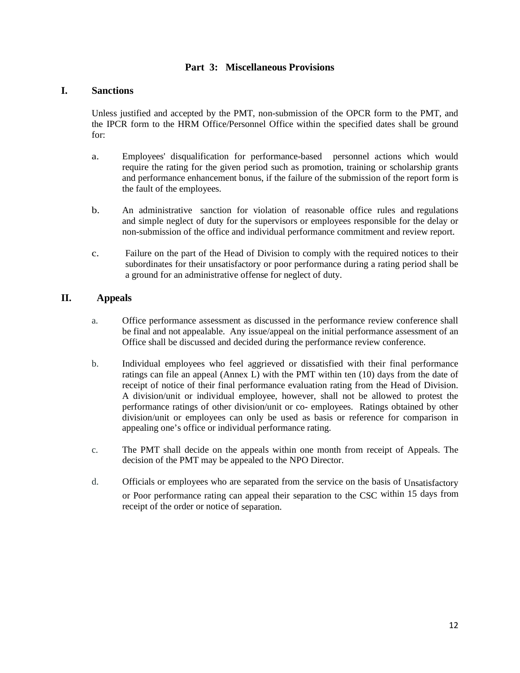# **Part 3: Miscellaneous Provisions**

### **I. Sanctions**

Unless justified and accepted by the PMT, non-submission of the OPCR form to the PMT, and the IPCR form to the HRM Office/Personnel Office within the specified dates shall be ground for:

- a. Employees' disqualification for performance-based personnel actions which would require the rating for the given period such as promotion, training or scholarship grants and performance enhancement bonus, if the failure of the submission of the report form is the fault of the employees.
- b. An administrative sanction for violation of reasonable office rules and regulations and simple neglect of duty for the supervisors or employees responsible for the delay or non-submission of the office and individual performance commitment and review report.
- c. Failure on the part of the Head of Division to comply with the required notices to their subordinates for their unsatisfactory or poor performance during a rating period shall be a ground for an administrative offense for neglect of duty.

# **II. Appeals**

- a. Office performance assessment as discussed in the performance review conference shall be final and not appealable. Any issue/appeal on the initial performance assessment of an Office shall be discussed and decided during the performance review conference.
- b. Individual employees who feel aggrieved or dissatisfied with their final performance ratings can file an appeal (Annex L) with the PMT within ten (10) days from the date of receipt of notice of their final performance evaluation rating from the Head of Division. A division/unit or individual employee, however, shall not be allowed to protest the performance ratings of other division/unit or co- employees. Ratings obtained by other division/unit or employees can only be used as basis or reference for comparison in appealing one's office or individual performance rating.
- c. The PMT shall decide on the appeals within one month from receipt of Appeals. The decision of the PMT may be appealed to the NPO Director.
- d. Officials or employees who are separated from the service on the basis of Unsatisfactory or Poor performance rating can appeal their separation to the CSC within 15 days from receipt of the order or notice of separation.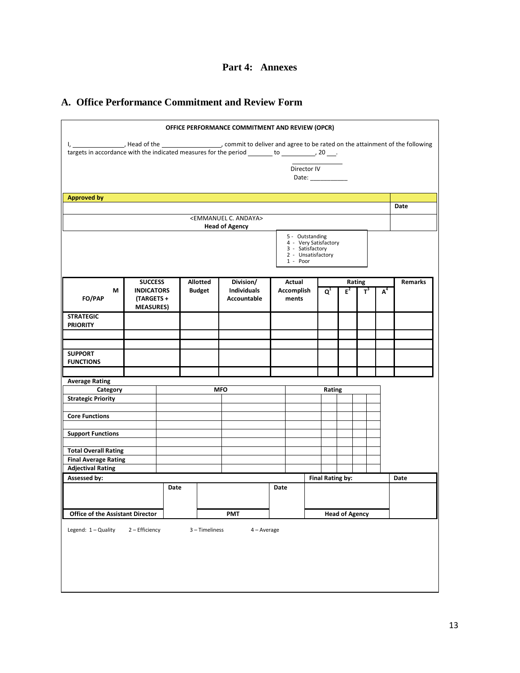# **A. Office Performance Commitment and Review Form**

|                                                                                                                               |                   |      |  |                | OFFICE PERFORMANCE COMMITMENT AND REVIEW (OPCR) |            |                                                                                    |                  |                       |        |       |                |
|-------------------------------------------------------------------------------------------------------------------------------|-------------------|------|--|----------------|-------------------------------------------------|------------|------------------------------------------------------------------------------------|------------------|-----------------------|--------|-------|----------------|
| I, _______________, Head of the _________________, commit to deliver and agree to be rated on the attainment of the following |                   |      |  |                |                                                 |            |                                                                                    |                  |                       |        |       |                |
|                                                                                                                               |                   |      |  |                |                                                 |            |                                                                                    |                  |                       |        |       |                |
| Director IV                                                                                                                   |                   |      |  |                |                                                 |            |                                                                                    |                  |                       |        |       |                |
|                                                                                                                               |                   |      |  |                |                                                 |            | Date: _____________                                                                |                  |                       |        |       |                |
|                                                                                                                               |                   |      |  |                |                                                 |            |                                                                                    |                  |                       |        |       |                |
| <b>Approved by</b>                                                                                                            |                   |      |  |                |                                                 |            |                                                                                    |                  |                       |        |       |                |
|                                                                                                                               |                   |      |  |                |                                                 |            |                                                                                    |                  |                       |        |       | Date           |
|                                                                                                                               |                   |      |  |                | <emmanuel andaya="" c.=""></emmanuel>           |            |                                                                                    |                  |                       |        |       |                |
|                                                                                                                               |                   |      |  |                | <b>Head of Agency</b>                           |            |                                                                                    |                  |                       |        |       |                |
|                                                                                                                               |                   |      |  |                |                                                 | 1 - Poor   | 5 - Outstanding<br>4 - Very Satisfactory<br>3 - Satisfactory<br>2 - Unsatisfactory |                  |                       |        |       |                |
|                                                                                                                               | <b>SUCCESS</b>    |      |  | Allotted       | Division/                                       | Actual     |                                                                                    |                  |                       | Rating |       | <b>Remarks</b> |
| М                                                                                                                             | <b>INDICATORS</b> |      |  | <b>Budget</b>  | <b>Individuals</b>                              | Accomplish |                                                                                    | $Q^1$            | $E^2$                 | $T^3$  | $A^4$ |                |
| FO/PAP                                                                                                                        | (TARGETS +        |      |  |                | Accountable                                     | ments      |                                                                                    |                  |                       |        |       |                |
|                                                                                                                               | <b>MEASURES)</b>  |      |  |                |                                                 |            |                                                                                    |                  |                       |        |       |                |
| <b>STRATEGIC</b>                                                                                                              |                   |      |  |                |                                                 |            |                                                                                    |                  |                       |        |       |                |
| <b>PRIORITY</b>                                                                                                               |                   |      |  |                |                                                 |            |                                                                                    |                  |                       |        |       |                |
|                                                                                                                               |                   |      |  |                |                                                 |            |                                                                                    |                  |                       |        |       |                |
|                                                                                                                               |                   |      |  |                |                                                 |            |                                                                                    |                  |                       |        |       |                |
| <b>SUPPORT</b><br><b>FUNCTIONS</b>                                                                                            |                   |      |  |                |                                                 |            |                                                                                    |                  |                       |        |       |                |
|                                                                                                                               |                   |      |  |                |                                                 |            |                                                                                    |                  |                       |        |       |                |
| <b>Average Rating</b>                                                                                                         |                   |      |  |                |                                                 |            |                                                                                    |                  |                       |        |       |                |
| Category                                                                                                                      |                   |      |  |                | <b>MFO</b>                                      |            |                                                                                    | Rating           |                       |        |       |                |
| <b>Strategic Priority</b>                                                                                                     |                   |      |  |                |                                                 |            |                                                                                    |                  |                       |        |       |                |
|                                                                                                                               |                   |      |  |                |                                                 |            |                                                                                    |                  |                       |        |       |                |
| <b>Core Functions</b>                                                                                                         |                   |      |  |                |                                                 |            |                                                                                    |                  |                       |        |       |                |
|                                                                                                                               |                   |      |  |                |                                                 |            |                                                                                    |                  |                       |        |       |                |
| <b>Support Functions</b>                                                                                                      |                   |      |  |                |                                                 |            |                                                                                    |                  |                       |        |       |                |
| <b>Total Overall Rating</b>                                                                                                   |                   |      |  |                |                                                 |            |                                                                                    |                  |                       |        |       |                |
| <b>Final Average Rating</b>                                                                                                   |                   |      |  |                |                                                 |            |                                                                                    |                  |                       |        |       |                |
| <b>Adjectival Rating</b>                                                                                                      |                   |      |  |                |                                                 |            |                                                                                    |                  |                       |        |       |                |
| Assessed by:                                                                                                                  |                   |      |  |                |                                                 |            |                                                                                    | Final Rating by: |                       |        |       | Date           |
|                                                                                                                               |                   | Date |  |                |                                                 | Date       |                                                                                    |                  |                       |        |       |                |
|                                                                                                                               |                   |      |  |                |                                                 |            |                                                                                    |                  |                       |        |       |                |
| <b>Office of the Assistant Director</b>                                                                                       |                   |      |  |                |                                                 |            |                                                                                    |                  |                       |        |       |                |
|                                                                                                                               |                   |      |  |                | <b>PMT</b>                                      |            |                                                                                    |                  | <b>Head of Agency</b> |        |       |                |
| Legend: 1 - Quality                                                                                                           | 2 - Efficiency    |      |  | 3 - Timeliness | 4 - Average                                     |            |                                                                                    |                  |                       |        |       |                |
|                                                                                                                               |                   |      |  |                |                                                 |            |                                                                                    |                  |                       |        |       |                |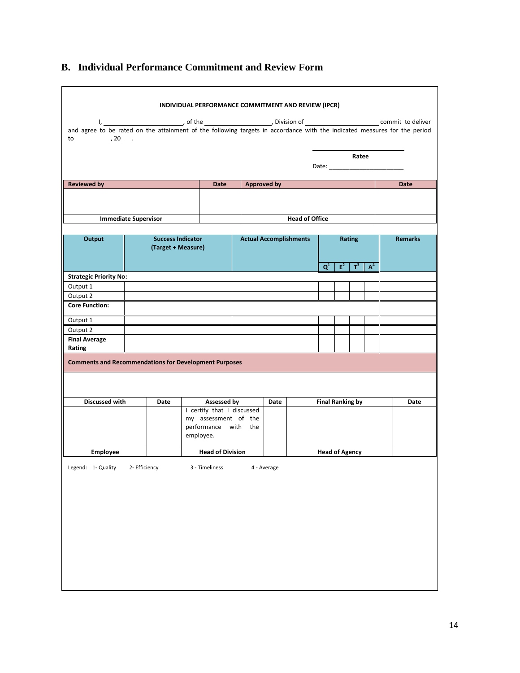# **B. Individual Performance Commitment and Review Form**

| and agree to be rated on the attainment of the following targets in accordance with the indicated measures for the period<br>$\frac{1}{20}$ $\frac{1}{20}$ . |                    |                                                           |             |                               |                                                                                                                |       |       |       |                |
|--------------------------------------------------------------------------------------------------------------------------------------------------------------|--------------------|-----------------------------------------------------------|-------------|-------------------------------|----------------------------------------------------------------------------------------------------------------|-------|-------|-------|----------------|
|                                                                                                                                                              |                    |                                                           |             |                               | Date: and the state of the state of the state of the state of the state of the state of the state of the state |       | Ratee |       |                |
| <b>Reviewed by</b>                                                                                                                                           |                    | Date                                                      | Approved by |                               |                                                                                                                |       |       |       | Date           |
|                                                                                                                                                              |                    |                                                           |             |                               |                                                                                                                |       |       |       |                |
| <b>Immediate Supervisor</b>                                                                                                                                  |                    |                                                           |             | <b>Head of Office</b>         |                                                                                                                |       |       |       |                |
| Output                                                                                                                                                       | (Target + Measure) | <b>Success Indicator</b>                                  |             | <b>Actual Accomplishments</b> | Rating                                                                                                         |       |       |       | <b>Remarks</b> |
|                                                                                                                                                              |                    |                                                           |             |                               | $Q^1$                                                                                                          | $E^2$ | $T^3$ | $A^4$ |                |
| <b>Strategic Priority No:</b>                                                                                                                                |                    |                                                           |             |                               |                                                                                                                |       |       |       |                |
| Output 1                                                                                                                                                     |                    |                                                           |             |                               |                                                                                                                |       |       |       |                |
| Output 2                                                                                                                                                     |                    |                                                           |             |                               |                                                                                                                |       |       |       |                |
| <b>Core Function:</b>                                                                                                                                        |                    |                                                           |             |                               |                                                                                                                |       |       |       |                |
| Output 1                                                                                                                                                     |                    |                                                           |             |                               |                                                                                                                |       |       |       |                |
| Output 2                                                                                                                                                     |                    |                                                           |             |                               |                                                                                                                |       |       |       |                |
| <b>Final Average</b><br>Rating                                                                                                                               |                    |                                                           |             |                               |                                                                                                                |       |       |       |                |
| <b>Comments and Recommendations for Development Purposes</b>                                                                                                 |                    |                                                           |             |                               |                                                                                                                |       |       |       |                |
| Discussed with                                                                                                                                               | Date               | <b>Assessed by</b>                                        | Date        |                               | <b>Final Ranking by</b>                                                                                        |       |       |       | Date           |
|                                                                                                                                                              |                    | I certify that I discussed                                |             |                               |                                                                                                                |       |       |       |                |
|                                                                                                                                                              |                    | my assessment of the<br>performance with the<br>employee. |             |                               |                                                                                                                |       |       |       |                |
| Employee                                                                                                                                                     |                    | <b>Head of Division</b>                                   |             |                               | <b>Head of Agency</b>                                                                                          |       |       |       |                |
| Legend: 1- Quality                                                                                                                                           | 2- Efficiency      | 3 - Timeliness                                            | 4 - Average |                               |                                                                                                                |       |       |       |                |
|                                                                                                                                                              |                    |                                                           |             |                               |                                                                                                                |       |       |       |                |
|                                                                                                                                                              |                    |                                                           |             |                               |                                                                                                                |       |       |       |                |
|                                                                                                                                                              |                    |                                                           |             |                               |                                                                                                                |       |       |       |                |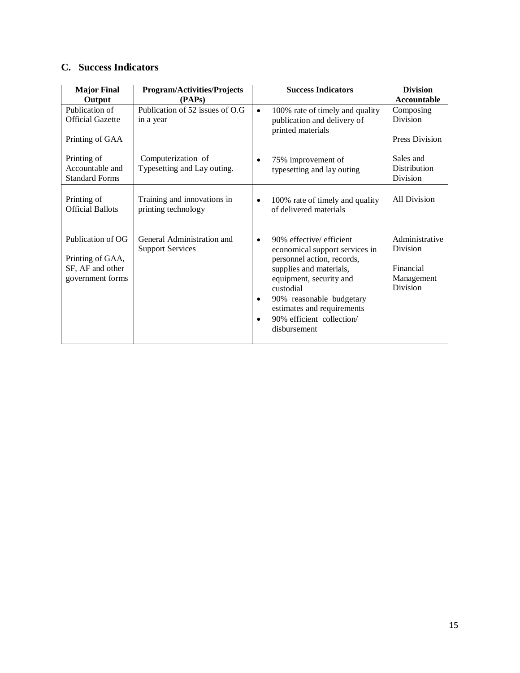# **C. Success Indicators**

| <b>Major Final</b>                        | <b>Program/Activities/Projects</b>                    | <b>Success Indicators</b>                                                                             | <b>Division</b>            |
|-------------------------------------------|-------------------------------------------------------|-------------------------------------------------------------------------------------------------------|----------------------------|
| Output                                    | (PAPs)                                                |                                                                                                       | Accountable                |
| Publication of<br><b>Official Gazette</b> | Publication of 52 issues of O.G<br>in a year          | 100% rate of timely and quality<br>$\bullet$<br>publication and delivery of                           | Composing<br>Division      |
| Printing of GAA                           |                                                       | printed materials                                                                                     | Press Division             |
| Printing of                               | Computerization of                                    | 75% improvement of<br>$\bullet$                                                                       | Sales and                  |
| Accountable and<br><b>Standard Forms</b>  | Typesetting and Lay outing.                           | typesetting and lay outing                                                                            | Distribution<br>Division   |
| Printing of<br><b>Official Ballots</b>    | Training and innovations in<br>printing technology    | 100% rate of timely and quality<br>$\bullet$<br>of delivered materials                                | All Division               |
| Publication of OG<br>Printing of GAA,     | General Administration and<br><b>Support Services</b> | 90% effective/ efficient<br>$\bullet$<br>economical support services in<br>personnel action, records, | Administrative<br>Division |
| SF, AF and other                          |                                                       | supplies and materials,                                                                               | Financial                  |
| government forms                          |                                                       | equipment, security and<br>custodial                                                                  | Management<br>Division     |
|                                           |                                                       | 90% reasonable budgetary<br>٠<br>estimates and requirements                                           |                            |
|                                           |                                                       | 90% efficient collection/<br>$\bullet$<br>disbursement                                                |                            |
|                                           |                                                       |                                                                                                       |                            |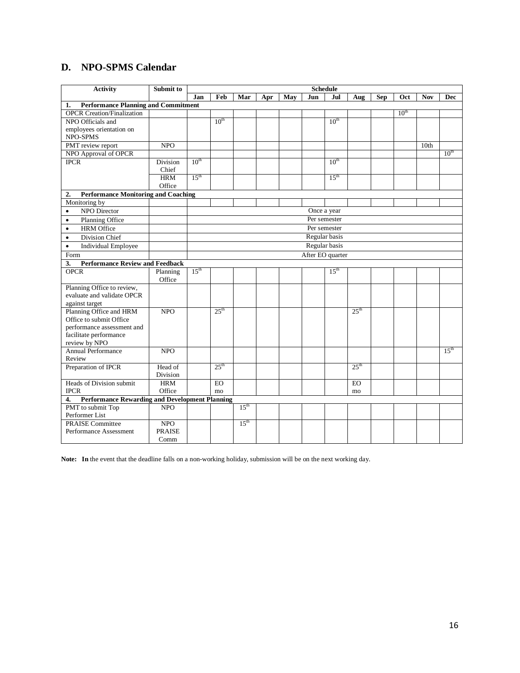# **D. NPO-SPMS Calendar**

| <b>Activity</b>                                             | Submit to            | <b>Schedule</b>  |                  |                  |     |     |                  |                  |                  |            |                  |                  |                  |
|-------------------------------------------------------------|----------------------|------------------|------------------|------------------|-----|-----|------------------|------------------|------------------|------------|------------------|------------------|------------------|
|                                                             |                      | Jan              | Feb              | Mar              | Apr | May | <b>Jun</b>       | <b>Jul</b>       | Aug              | <b>Sep</b> | Oct              | <b>Nov</b>       | <b>Dec</b>       |
| <b>Performance Planning and Commitment</b><br>1.            |                      |                  |                  |                  |     |     |                  |                  |                  |            |                  |                  |                  |
| <b>OPCR Creation/Finalization</b>                           |                      |                  |                  |                  |     |     |                  |                  |                  |            | 10 <sup>th</sup> |                  |                  |
| NPO Officials and                                           |                      |                  | $10^{\text{th}}$ |                  |     |     |                  | $10^{\text{th}}$ |                  |            |                  |                  |                  |
| employees orientation on                                    |                      |                  |                  |                  |     |     |                  |                  |                  |            |                  |                  |                  |
| NPO-SPMS                                                    |                      |                  |                  |                  |     |     |                  |                  |                  |            |                  |                  |                  |
| PMT review report                                           | <b>NPO</b>           |                  |                  |                  |     |     |                  |                  |                  |            |                  | 10 <sub>th</sub> |                  |
| NPO Approval of OPCR                                        |                      |                  |                  |                  |     |     |                  |                  |                  |            |                  |                  | $10^{th}$        |
| <b>IPCR</b>                                                 | Division             | $10^{\text{th}}$ |                  |                  |     |     |                  | $10^{\text{th}}$ |                  |            |                  |                  |                  |
|                                                             | Chief                |                  |                  |                  |     |     |                  |                  |                  |            |                  |                  |                  |
|                                                             | <b>HRM</b>           | $15^{\text{th}}$ |                  |                  |     |     |                  | 15 <sup>th</sup> |                  |            |                  |                  |                  |
|                                                             | Office               |                  |                  |                  |     |     |                  |                  |                  |            |                  |                  |                  |
| <b>Performance Monitoring and Coaching</b><br>2.            |                      |                  |                  |                  |     |     |                  |                  |                  |            |                  |                  |                  |
| Monitoring by                                               |                      |                  |                  |                  |     |     |                  |                  |                  |            |                  |                  |                  |
| NPO Director<br>$\bullet$                                   |                      |                  |                  |                  |     |     |                  | Once a year      |                  |            |                  |                  |                  |
| Planning Office<br>$\bullet$                                |                      |                  |                  |                  |     |     |                  | Per semester     |                  |            |                  |                  |                  |
| <b>HRM</b> Office<br>$\bullet$                              |                      |                  |                  |                  |     |     |                  | Per semester     |                  |            |                  |                  |                  |
| Division Chief<br>$\bullet$                                 |                      |                  |                  |                  |     |     |                  | Regular basis    |                  |            |                  |                  |                  |
| <b>Individual Employee</b><br>$\bullet$                     |                      |                  | Regular basis    |                  |     |     |                  |                  |                  |            |                  |                  |                  |
| Form                                                        |                      |                  |                  |                  |     |     | After EO quarter |                  |                  |            |                  |                  |                  |
| 3.<br><b>Performance Review and Feedback</b>                |                      |                  |                  |                  |     |     |                  |                  |                  |            |                  |                  |                  |
| <b>OPCR</b>                                                 | Planning             | $15^{\text{th}}$ |                  |                  |     |     |                  | 15 <sup>th</sup> |                  |            |                  |                  |                  |
|                                                             | Office               |                  |                  |                  |     |     |                  |                  |                  |            |                  |                  |                  |
| Planning Office to review,                                  |                      |                  |                  |                  |     |     |                  |                  |                  |            |                  |                  |                  |
| evaluate and validate OPCR                                  |                      |                  |                  |                  |     |     |                  |                  |                  |            |                  |                  |                  |
| against target                                              |                      |                  |                  |                  |     |     |                  |                  |                  |            |                  |                  |                  |
| Planning Office and HRM                                     | <b>NPO</b>           |                  | $25^{\text{th}}$ |                  |     |     |                  |                  | $25^{\text{th}}$ |            |                  |                  |                  |
| Office to submit Office                                     |                      |                  |                  |                  |     |     |                  |                  |                  |            |                  |                  |                  |
| performance assessment and                                  |                      |                  |                  |                  |     |     |                  |                  |                  |            |                  |                  |                  |
| facilitate performance                                      |                      |                  |                  |                  |     |     |                  |                  |                  |            |                  |                  |                  |
| review by NPO                                               |                      |                  |                  |                  |     |     |                  |                  |                  |            |                  |                  |                  |
| <b>Annual Performance</b>                                   | NPO                  |                  |                  |                  |     |     |                  |                  |                  |            |                  |                  | 15 <sup>th</sup> |
| Review                                                      |                      |                  |                  |                  |     |     |                  |                  |                  |            |                  |                  |                  |
| Preparation of IPCR                                         | Head of              |                  | 25 <sup>th</sup> |                  |     |     |                  |                  | 25 <sup>th</sup> |            |                  |                  |                  |
|                                                             | Division             |                  |                  |                  |     |     |                  |                  |                  |            |                  |                  |                  |
| Heads of Division submit<br><b>IPCR</b>                     | <b>HRM</b><br>Office |                  | EO.              |                  |     |     |                  |                  | EO               |            |                  |                  |                  |
|                                                             |                      |                  | mo               |                  |     |     |                  |                  | mo               |            |                  |                  |                  |
| <b>Performance Rewarding and Development Planning</b><br>4. |                      |                  |                  | 15 <sup>th</sup> |     |     |                  |                  |                  |            |                  |                  |                  |
| PMT to submit Top<br>Performer List                         | NPO                  |                  |                  |                  |     |     |                  |                  |                  |            |                  |                  |                  |
| <b>PRAISE Committee</b>                                     | <b>NPO</b>           |                  |                  | $15^{\text{th}}$ |     |     |                  |                  |                  |            |                  |                  |                  |
| Performance Assessment                                      | <b>PRAISE</b>        |                  |                  |                  |     |     |                  |                  |                  |            |                  |                  |                  |
|                                                             | Comm                 |                  |                  |                  |     |     |                  |                  |                  |            |                  |                  |                  |

**Note: In** the event that the deadline falls on a non-working holiday, submission will be on the next working day.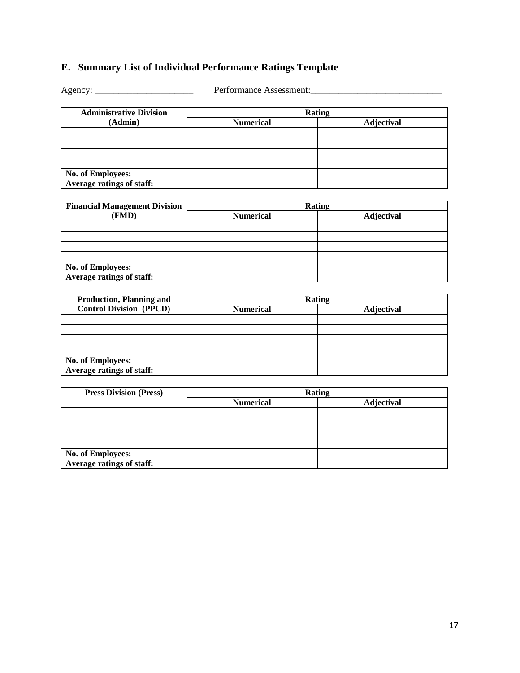# **E. Summary List of Individual Performance Ratings Template**

Agency: \_\_\_\_\_\_\_\_\_\_\_\_\_\_\_\_\_\_\_\_\_ Performance Assessment:\_\_\_\_\_\_\_\_\_\_\_\_\_\_\_\_\_\_\_\_\_\_\_\_\_\_\_\_

| <b>Administrative Division</b> | Rating           |                   |
|--------------------------------|------------------|-------------------|
| (Admin)                        | <b>Numerical</b> | <b>Adjectival</b> |
|                                |                  |                   |
|                                |                  |                   |
|                                |                  |                   |
|                                |                  |                   |
| No. of Employees:              |                  |                   |
| Average ratings of staff:      |                  |                   |

| <b>Financial Management Division</b> |                  | Rating            |
|--------------------------------------|------------------|-------------------|
| (FMD)                                | <b>Numerical</b> | <b>Adjectival</b> |
|                                      |                  |                   |
|                                      |                  |                   |
|                                      |                  |                   |
|                                      |                  |                   |
| No. of Employees:                    |                  |                   |
| Average ratings of staff:            |                  |                   |

| <b>Production, Planning and</b>                |                  | Rating     |
|------------------------------------------------|------------------|------------|
| <b>Control Division (PPCD)</b>                 | <b>Numerical</b> | Adjectival |
|                                                |                  |            |
|                                                |                  |            |
|                                                |                  |            |
|                                                |                  |            |
| No. of Employees:<br>Average ratings of staff: |                  |            |

| <b>Press Division (Press)</b>                  |                  | Rating     |
|------------------------------------------------|------------------|------------|
|                                                | <b>Numerical</b> | Adjectival |
|                                                |                  |            |
|                                                |                  |            |
|                                                |                  |            |
|                                                |                  |            |
| No. of Employees:<br>Average ratings of staff: |                  |            |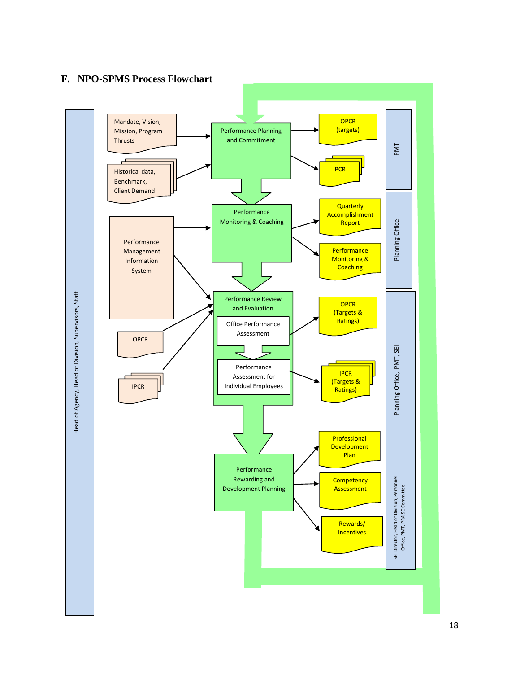# **F. NPO-SPMS Process Flowchart**

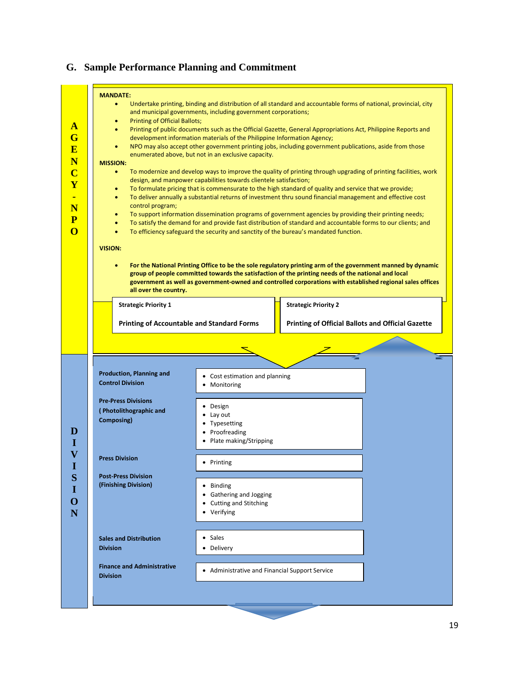#### **A G E N C Y - N P O D I V I S I O N MANDATE:**  • Undertake printing, binding and distribution of all standard and accountable forms of national, provincial, city and municipal governments, including government corporations; • Printing of Official Ballots; • Printing of public documents such as the Official Gazette, General Appropriations Act, Philippine Reports and development information materials of the Philippine Information Agency; • NPO may also accept other government printing jobs, including government publications, aside from those enumerated above, but not in an exclusive capacity. **MISSION:** • To modernize and develop ways to improve the quality of printing through upgrading of printing facilities, work design, and manpower capabilities towards clientele satisfaction; • To formulate pricing that is commensurate to the high standard of quality and service that we provide; • To deliver annually a substantial returns of investment thru sound financial management and effective cost control program; • To support information dissemination programs of government agencies by providing their printing needs; • To satisfy the demand for and provide fast distribution of standard and accountable forms to our clients; and • To efficiency safeguard the security and sanctity of the bureau's mandated function. **VISION:**  • **For the National Printing Office to be the sole regulatory printing arm of the government manned by dynamic group of people committed towards the satisfaction of the printing needs of the national and local government as well as government-owned and controlled corporations with established regional sales offices all over the country. Strategic Priority 2 Printing of Official Ballots and Official Gazette Strategic Priority 1 Printing of Accountable and Standard Forms** • Cost estimation and planning • Monitoring **Production, Planning and Control Division Pre-Press Divisions ( Photolithographic and Composing) Press Division Post-Press Division (Finishing Division) Sales and Distribution Division Finance and Administrative Division** • Design • Lay out • Typesetting • Proofreading • Plate making/Stripping • Printing • Binding • Gathering and Jogging • Cutting and Stitching • Verifying • Sales • Delivery • Administrative and Financial Support Service

# **G. Sample Performance Planning and Commitment**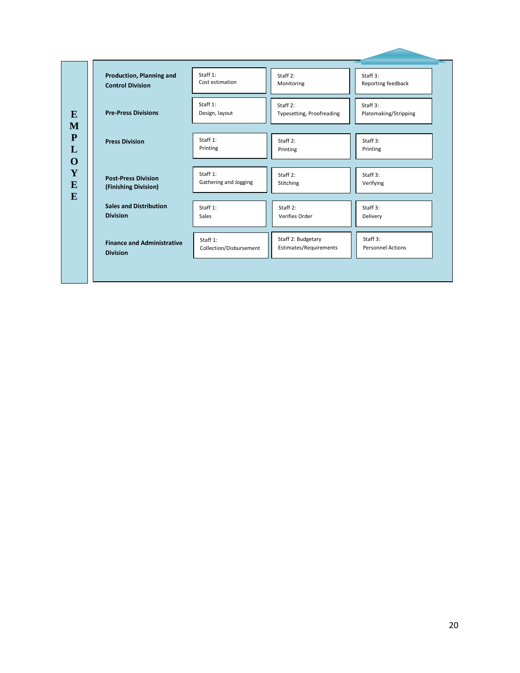| Production, Planning and          | Staff 1:                | Staff 2:                  | Staff 3:                 |
|-----------------------------------|-------------------------|---------------------------|--------------------------|
| <b>Control Division</b>           | Cost estimation         | Monitoring                | Reporting feedback       |
| <b>Pre-Press Divisions</b>        | Staff 1:                | Staff 2:                  | Staff 3:                 |
|                                   | Design, layout          | Typesetting, Proofreading | Platemaking/Stripping    |
| <b>Press Division</b>             | Staff 1:                | Staff 2:                  | Staff $3:$               |
|                                   | Printing                | Printing                  | Printing                 |
| <b>Post-Press Division</b>        | Staff 1:                | Staff 2:                  | Staff 3:                 |
| (Finishing Division)              | Gathering and Jogging   | Stitching                 | Verifying                |
| <b>Sales and Distribution</b>     | Staff 1:                | Staff 2:                  | Staff 3:                 |
| <b>Division</b>                   | Sales                   | Verifies Order            | Delivery                 |
| <b>Finance and Administrative</b> | Staff 1:                | Staff 2: Budgetary        | Staff 3:                 |
| <b>Division</b>                   | Collection/Disbursement | Estimates/Requirements    | <b>Personnel Actions</b> |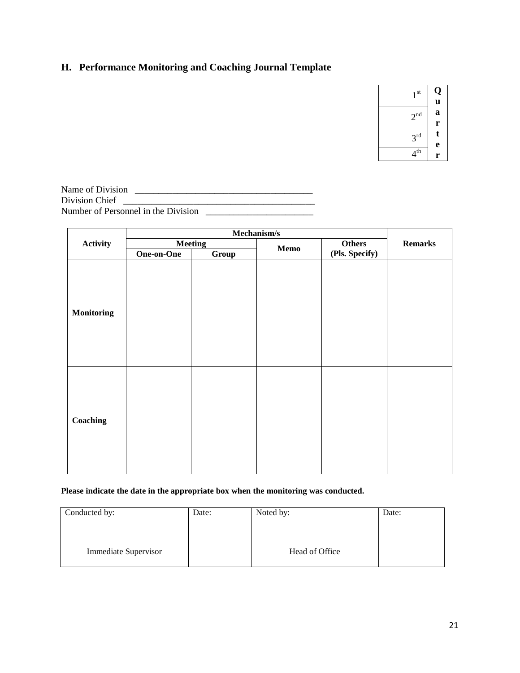# **H. Performance Monitoring and Coaching Journal Template**

| $1^{\text{st}}$ | Q<br>u      |
|-----------------|-------------|
| 2 <sup>nd</sup> | a           |
| 3 <sup>rd</sup> | r<br>t<br>e |
| 4 <sup>th</sup> | r           |

| Name of Division                    |  |
|-------------------------------------|--|
| Division Chief                      |  |
| Number of Personnel in the Division |  |

|                   | Mechanism/s |                        |  |                |                |
|-------------------|-------------|------------------------|--|----------------|----------------|
| <b>Activity</b>   |             | <b>Meeting</b><br>Memo |  | Others         | <b>Remarks</b> |
|                   | One-on-One  | Group                  |  | (Pls. Specify) |                |
| <b>Monitoring</b> |             |                        |  |                |                |
| Coaching          |             |                        |  |                |                |

### **Please indicate the date in the appropriate box when the monitoring was conducted.**

| Conducted by:        | Date: | Noted by:      | Date: |
|----------------------|-------|----------------|-------|
|                      |       |                |       |
| Immediate Supervisor |       | Head of Office |       |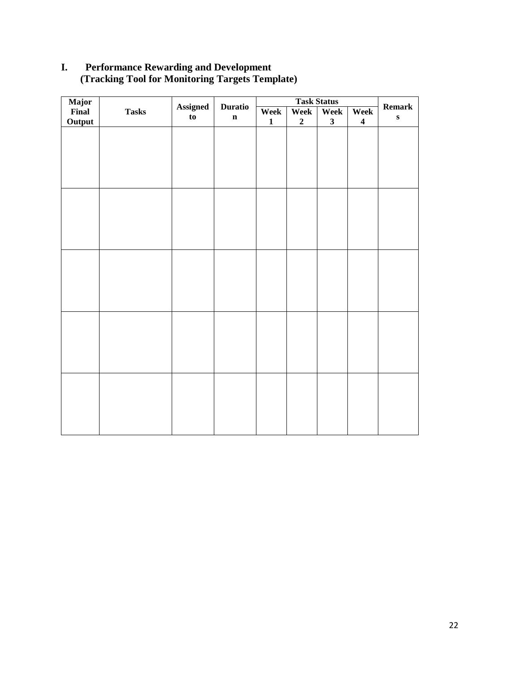# **I. Performance Rewarding and Development (Tracking Tool for Monitoring Targets Template)**

| Major<br>Final |              | <b>Assigned</b><br><b>Duratio</b> |             | <b>Task Status</b> |                  |                         |                         |                            |
|----------------|--------------|-----------------------------------|-------------|--------------------|------------------|-------------------------|-------------------------|----------------------------|
|                | <b>Tasks</b> | to                                | $\mathbf n$ | <b>Week</b>        | Week             | Week                    | Week                    | <b>Remark</b><br>${\bf S}$ |
| Output         |              |                                   |             | $\mathbf{1}$       | $\boldsymbol{2}$ | $\overline{\mathbf{3}}$ | $\overline{\mathbf{4}}$ |                            |
|                |              |                                   |             |                    |                  |                         |                         |                            |
|                |              |                                   |             |                    |                  |                         |                         |                            |
|                |              |                                   |             |                    |                  |                         |                         |                            |
|                |              |                                   |             |                    |                  |                         |                         |                            |
|                |              |                                   |             |                    |                  |                         |                         |                            |
|                |              |                                   |             |                    |                  |                         |                         |                            |
|                |              |                                   |             |                    |                  |                         |                         |                            |
|                |              |                                   |             |                    |                  |                         |                         |                            |
|                |              |                                   |             |                    |                  |                         |                         |                            |
|                |              |                                   |             |                    |                  |                         |                         |                            |
|                |              |                                   |             |                    |                  |                         |                         |                            |
|                |              |                                   |             |                    |                  |                         |                         |                            |
|                |              |                                   |             |                    |                  |                         |                         |                            |
|                |              |                                   |             |                    |                  |                         |                         |                            |
|                |              |                                   |             |                    |                  |                         |                         |                            |
|                |              |                                   |             |                    |                  |                         |                         |                            |
|                |              |                                   |             |                    |                  |                         |                         |                            |
|                |              |                                   |             |                    |                  |                         |                         |                            |
|                |              |                                   |             |                    |                  |                         |                         |                            |
|                |              |                                   |             |                    |                  |                         |                         |                            |
|                |              |                                   |             |                    |                  |                         |                         |                            |
|                |              |                                   |             |                    |                  |                         |                         |                            |
|                |              |                                   |             |                    |                  |                         |                         |                            |
|                |              |                                   |             |                    |                  |                         |                         |                            |
|                |              |                                   |             |                    |                  |                         |                         |                            |
|                |              |                                   |             |                    |                  |                         |                         |                            |
|                |              |                                   |             |                    |                  |                         |                         |                            |
|                |              |                                   |             |                    |                  |                         |                         |                            |
|                |              |                                   |             |                    |                  |                         |                         |                            |
|                |              |                                   |             |                    |                  |                         |                         |                            |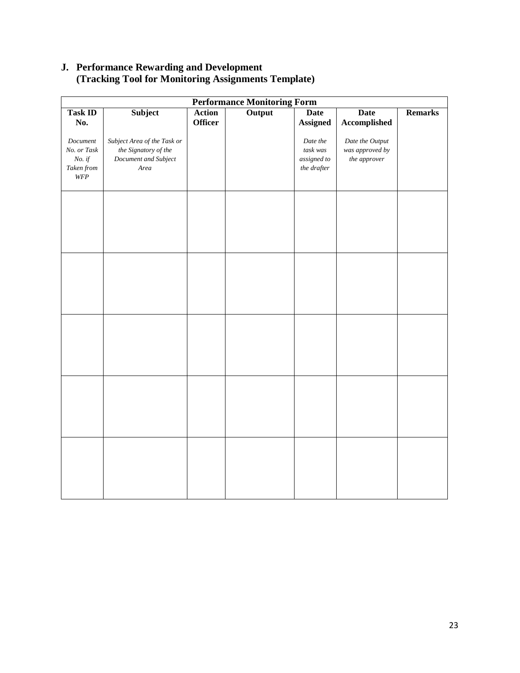# **J. Performance Rewarding and Development (Tracking Tool for Monitoring Assignments Template)**

| <b>Performance Monitoring Form</b>                       |                                                                                     |                                 |        |                                                    |                                                    |                |
|----------------------------------------------------------|-------------------------------------------------------------------------------------|---------------------------------|--------|----------------------------------------------------|----------------------------------------------------|----------------|
| <b>Task ID</b><br>No.                                    | Subject                                                                             | <b>Action</b><br><b>Officer</b> | Output | <b>Date</b><br><b>Assigned</b>                     | <b>Date</b><br>Accomplished                        | <b>Remarks</b> |
| Document<br>No. or Task<br>$No.$ if<br>Taken from<br>WFP | Subject Area of the Task or<br>the Signatory of the<br>Document and Subject<br>Area |                                 |        | Date the<br>task was<br>assigned to<br>the drafter | Date the Output<br>was approved by<br>the approver |                |
|                                                          |                                                                                     |                                 |        |                                                    |                                                    |                |
|                                                          |                                                                                     |                                 |        |                                                    |                                                    |                |
|                                                          |                                                                                     |                                 |        |                                                    |                                                    |                |
|                                                          |                                                                                     |                                 |        |                                                    |                                                    |                |
|                                                          |                                                                                     |                                 |        |                                                    |                                                    |                |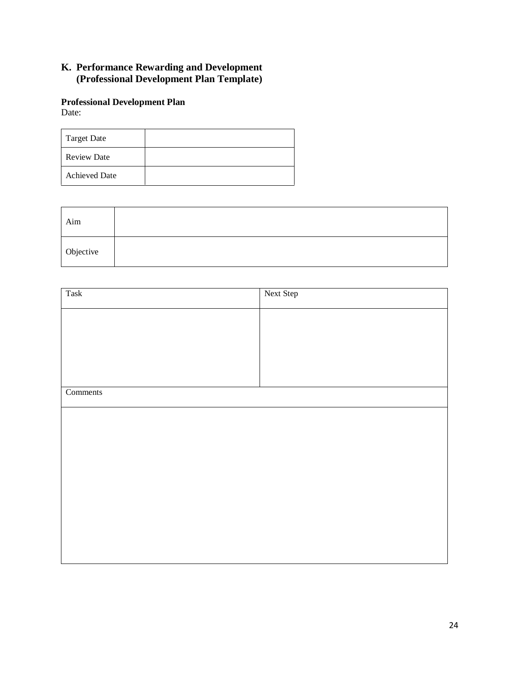# **K. Performance Rewarding and Development (Professional Development Plan Template)**

### **Professional Development Plan** Date:

| Target Date          |  |
|----------------------|--|
| <b>Review Date</b>   |  |
| <b>Achieved Date</b> |  |

| Aim       |  |
|-----------|--|
| Objective |  |

| Task     | Next Step |
|----------|-----------|
|          |           |
|          |           |
|          |           |
|          |           |
|          |           |
| Comments |           |
|          |           |
|          |           |
|          |           |
|          |           |
|          |           |
|          |           |
|          |           |
|          |           |
|          |           |
|          |           |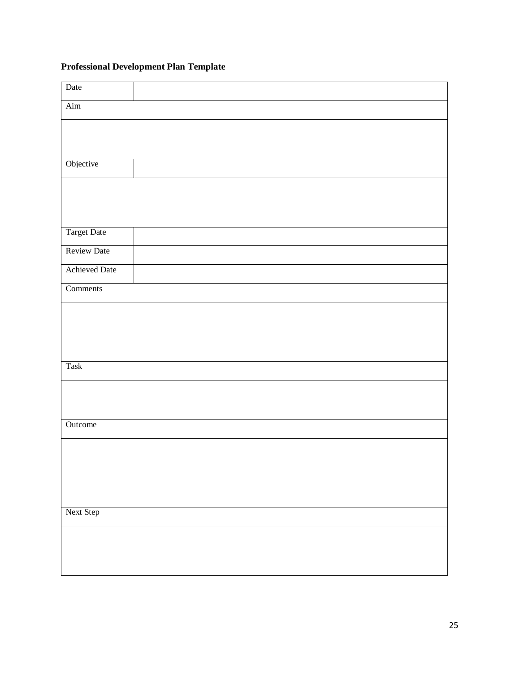# **Professional Development Plan Template**

| Date                 |
|----------------------|
| Aim                  |
|                      |
|                      |
| Objective            |
|                      |
|                      |
|                      |
| Target Date          |
| <b>Review Date</b>   |
| <b>Achieved Date</b> |
| Comments             |
|                      |
|                      |
|                      |
| Task                 |
|                      |
|                      |
| Outcome              |
|                      |
|                      |
|                      |
|                      |
| Next Step            |
|                      |
|                      |
|                      |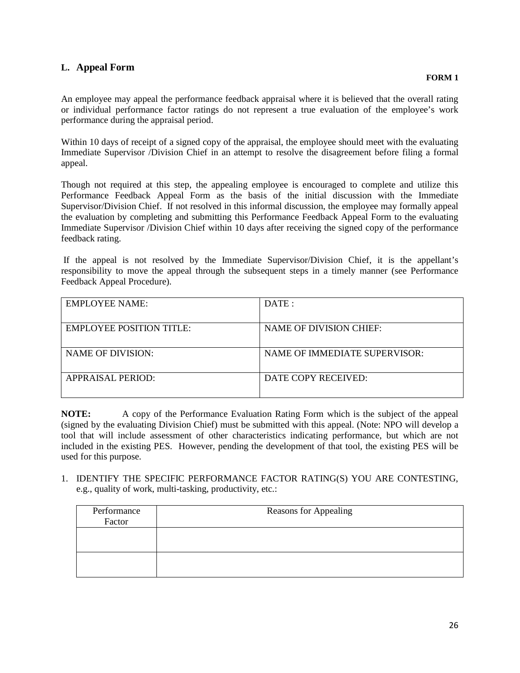# **L. Appeal Form**

An employee may appeal the performance feedback appraisal where it is believed that the overall rating or individual performance factor ratings do not represent a true evaluation of the employee's work performance during the appraisal period.

Within 10 days of receipt of a signed copy of the appraisal, the employee should meet with the evaluating Immediate Supervisor /Division Chief in an attempt to resolve the disagreement before filing a formal appeal.

Though not required at this step, the appealing employee is encouraged to complete and utilize this Performance Feedback Appeal Form as the basis of the initial discussion with the Immediate Supervisor/Division Chief. If not resolved in this informal discussion, the employee may formally appeal the evaluation by completing and submitting this Performance Feedback Appeal Form to the evaluating Immediate Supervisor /Division Chief within 10 days after receiving the signed copy of the performance feedback rating.

If the appeal is not resolved by the Immediate Supervisor/Division Chief, it is the appellant's responsibility to move the appeal through the subsequent steps in a timely manner (see Performance Feedback Appeal Procedure).

| DATE:                                |
|--------------------------------------|
| NAME OF DIVISION CHIEF:              |
| <b>NAME OF IMMEDIATE SUPERVISOR:</b> |
|                                      |
| DATE COPY RECEIVED:                  |
|                                      |

**NOTE:** A copy of the Performance Evaluation Rating Form which is the subject of the appeal (signed by the evaluating Division Chief) must be submitted with this appeal. (Note: NPO will develop a tool that will include assessment of other characteristics indicating performance, but which are not included in the existing PES. However, pending the development of that tool, the existing PES will be used for this purpose.

1. IDENTIFY THE SPECIFIC PERFORMANCE FACTOR RATING(S) YOU ARE CONTESTING, e.g., quality of work, multi-tasking, productivity, etc.:

| Performance<br>Factor | <b>Reasons for Appealing</b> |
|-----------------------|------------------------------|
|                       |                              |
|                       |                              |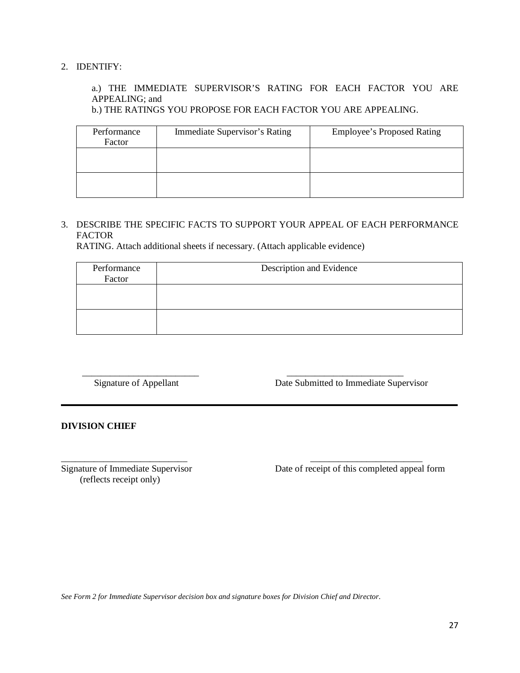### 2. IDENTIFY:

# a.) THE IMMEDIATE SUPERVISOR'S RATING FOR EACH FACTOR YOU ARE APPEALING; and

b.) THE RATINGS YOU PROPOSE FOR EACH FACTOR YOU ARE APPEALING.

| Performance<br>Factor | Immediate Supervisor's Rating | <b>Employee's Proposed Rating</b> |
|-----------------------|-------------------------------|-----------------------------------|
|                       |                               |                                   |
|                       |                               |                                   |

### 3. DESCRIBE THE SPECIFIC FACTS TO SUPPORT YOUR APPEAL OF EACH PERFORMANCE FACTOR

RATING. Attach additional sheets if necessary. (Attach applicable evidence)

| Performance<br>Factor | Description and Evidence |
|-----------------------|--------------------------|
|                       |                          |
|                       |                          |

 \_\_\_\_\_\_\_\_\_\_\_\_\_\_\_\_\_\_\_\_\_\_\_\_\_ \_\_\_\_\_\_\_\_\_\_\_\_\_\_\_\_\_\_\_\_\_\_\_\_\_ Signature of Appellant Date Submitted to Immediate Supervisor

**DIVISION CHIEF**

\_\_\_\_\_\_\_\_\_\_\_\_\_\_\_\_\_\_\_\_\_\_\_\_\_\_\_ \_\_\_\_\_\_\_\_\_\_\_\_\_\_\_\_\_\_\_\_\_\_\_\_ (reflects receipt only)

Signature of Immediate Supervisor Date of receipt of this completed appeal form

*See Form 2 for Immediate Supervisor decision box and signature boxes for Division Chief and Director.*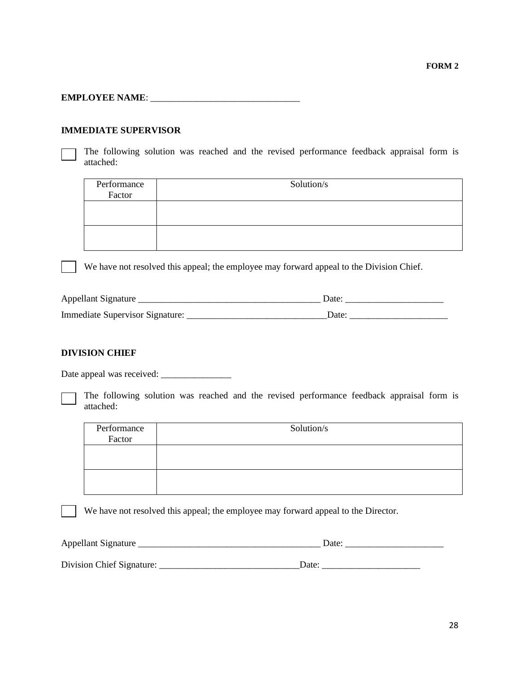### **EMPLOYEE NAME**: \_\_\_\_\_\_\_\_\_\_\_\_\_\_\_\_\_\_\_\_\_\_\_\_\_\_\_\_\_\_\_\_

#### **IMMEDIATE SUPERVISOR**

The following solution was reached and the revised performance feedback appraisal form is attached:

| Performance<br>Factor | Solution/s |
|-----------------------|------------|
|                       |            |
|                       |            |

We have not resolved this appeal; the employee may forward appeal to the Division Chief.

| Appellant Signature                    | Date |
|----------------------------------------|------|
| <b>Immediate Supervisor Signature:</b> | )ate |

#### **DIVISION CHIEF**

Date appeal was received: \_\_\_\_\_\_\_\_\_\_\_\_\_\_\_

The following solution was reached and the revised performance feedback appraisal form is attached:

| Performance<br>Factor | Solution/s |
|-----------------------|------------|
|                       |            |
|                       |            |

We have not resolved this appeal; the employee may forward appeal to the Director.

| Appellant Signature       | Date: |
|---------------------------|-------|
|                           |       |
| Division Chief Signature: | Date. |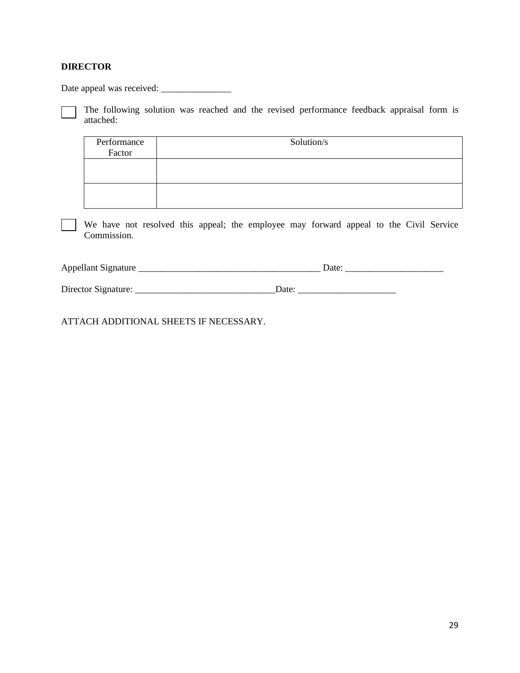### **DIRECTOR**

Date appeal was received: \_\_\_\_\_\_\_\_\_\_\_\_\_\_\_

The following solution was reached and the revised performance feedback appraisal form is attached:

| Performance<br>Factor | Solution/s |
|-----------------------|------------|
|                       |            |
|                       |            |

We have not resolved this appeal; the employee may forward appeal to the Civil Service Commission.

| Appellant<br>Signature |  |
|------------------------|--|
|                        |  |

Director Signature: \_\_\_\_\_\_\_\_\_\_\_\_\_\_\_\_\_\_\_\_\_\_\_\_\_\_\_\_\_\_Date: \_\_\_\_\_\_\_\_\_\_\_\_\_\_\_\_\_\_\_\_\_

ATTACH ADDITIONAL SHEETS IF NECESSARY.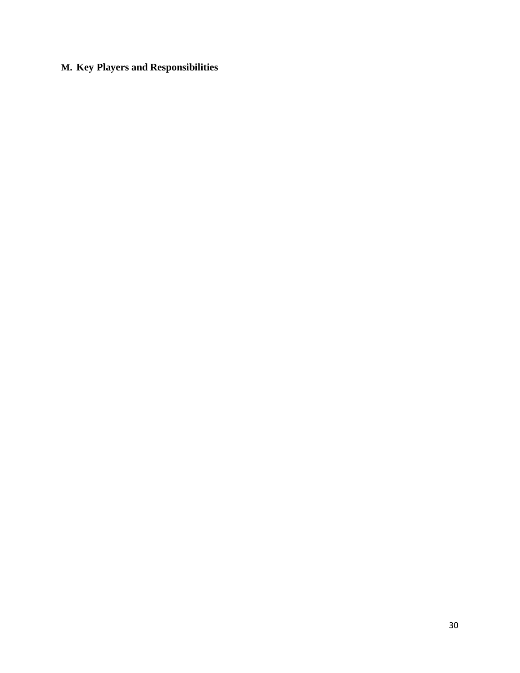# **M. Key Players and Responsibilities**